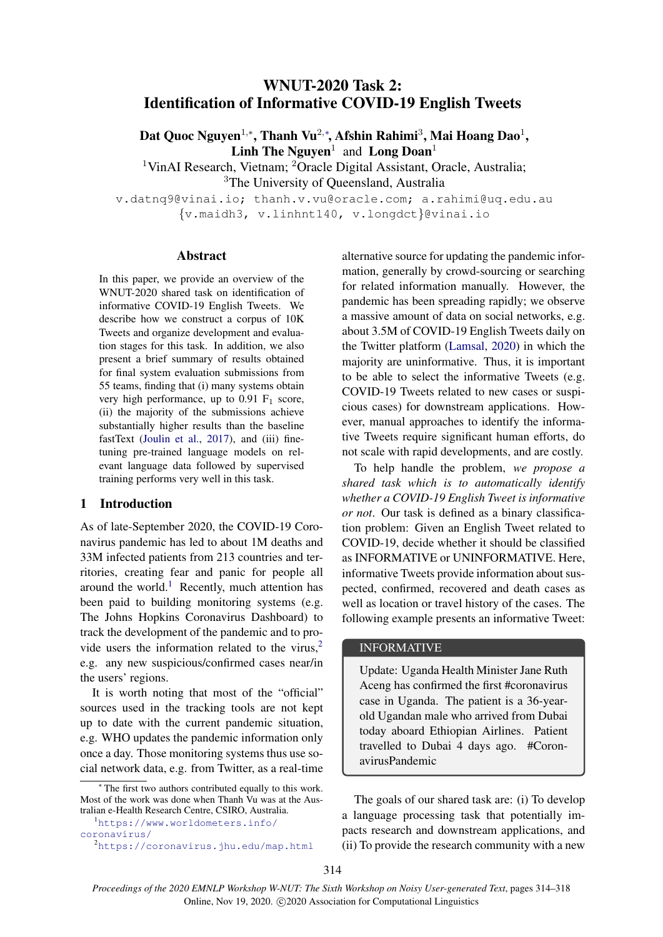# WNUT-2020 Task 2: Identification of Informative COVID-19 English Tweets

Dat Quoc Nguyen $^{1,*}$ , Thanh Vu $^{2,*}$ , Afshin Rahimi $^3$ , Mai Hoang Dao $^1$ , Linh The Nguyen<sup>1</sup> and Long Doan<sup>1</sup>

<sup>1</sup>VinAI Research, Vietnam; <sup>2</sup>Oracle Digital Assistant, Oracle, Australia; <sup>3</sup>The University of Queensland, Australia

v.datnq9@vinai.io; thanh.v.vu@oracle.com; a.rahimi@uq.edu.au {v.maidh3, v.linhnt140, v.longdct}@vinai.io

## Abstract

In this paper, we provide an overview of the WNUT-2020 shared task on identification of informative COVID-19 English Tweets. We describe how we construct a corpus of 10K Tweets and organize development and evaluation stages for this task. In addition, we also present a brief summary of results obtained for final system evaluation submissions from 55 teams, finding that (i) many systems obtain very high performance, up to  $0.91 \text{ F}_1$  score, (ii) the majority of the submissions achieve substantially higher results than the baseline fastText [\(Joulin et al.,](#page-4-0) [2017\)](#page-4-0), and (iii) finetuning pre-trained language models on relevant language data followed by supervised training performs very well in this task.

# 1 Introduction

As of late-September 2020, the COVID-19 Coronavirus pandemic has led to about 1M deaths and 33M infected patients from 213 countries and territories, creating fear and panic for people all around the world.<sup>[1](#page-0-0)</sup> Recently, much attention has been paid to building monitoring systems (e.g. The Johns Hopkins Coronavirus Dashboard) to track the development of the pandemic and to provide users the information related to the virus, $2$ e.g. any new suspicious/confirmed cases near/in the users' regions.

It is worth noting that most of the "official" sources used in the tracking tools are not kept up to date with the current pandemic situation, e.g. WHO updates the pandemic information only once a day. Those monitoring systems thus use social network data, e.g. from Twitter, as a real-time

<span id="page-0-0"></span><sup>1</sup>[https://www.worldometers.info/](https://www.worldometers.info/coronavirus/) [coronavirus/](https://www.worldometers.info/coronavirus/)

alternative source for updating the pandemic information, generally by crowd-sourcing or searching for related information manually. However, the pandemic has been spreading rapidly; we observe a massive amount of data on social networks, e.g. about 3.5M of COVID-19 English Tweets daily on the Twitter platform [\(Lamsal,](#page-4-1) [2020\)](#page-4-1) in which the majority are uninformative. Thus, it is important to be able to select the informative Tweets (e.g. COVID-19 Tweets related to new cases or suspicious cases) for downstream applications. However, manual approaches to identify the informative Tweets require significant human efforts, do not scale with rapid developments, and are costly.

To help handle the problem, *we propose a shared task which is to automatically identify whether a COVID-19 English Tweet is informative or not*. Our task is defined as a binary classification problem: Given an English Tweet related to COVID-19, decide whether it should be classified as INFORMATIVE or UNINFORMATIVE. Here, informative Tweets provide information about suspected, confirmed, recovered and death cases as well as location or travel history of the cases. The following example presents an informative Tweet:

#### INFORMATIVE

Update: Uganda Health Minister Jane Ruth Aceng has confirmed the first #coronavirus case in Uganda. The patient is a 36-yearold Ugandan male who arrived from Dubai today aboard Ethiopian Airlines. Patient travelled to Dubai 4 days ago. #CoronavirusPandemic

The goals of our shared task are: (i) To develop a language processing task that potentially impacts research and downstream applications, and (ii) To provide the research community with a new

The first two authors contributed equally to this work. Most of the work was done when Thanh Vu was at the Australian e-Health Research Centre, CSIRO, Australia.

<span id="page-0-1"></span><sup>2</sup><https://coronavirus.jhu.edu/map.html>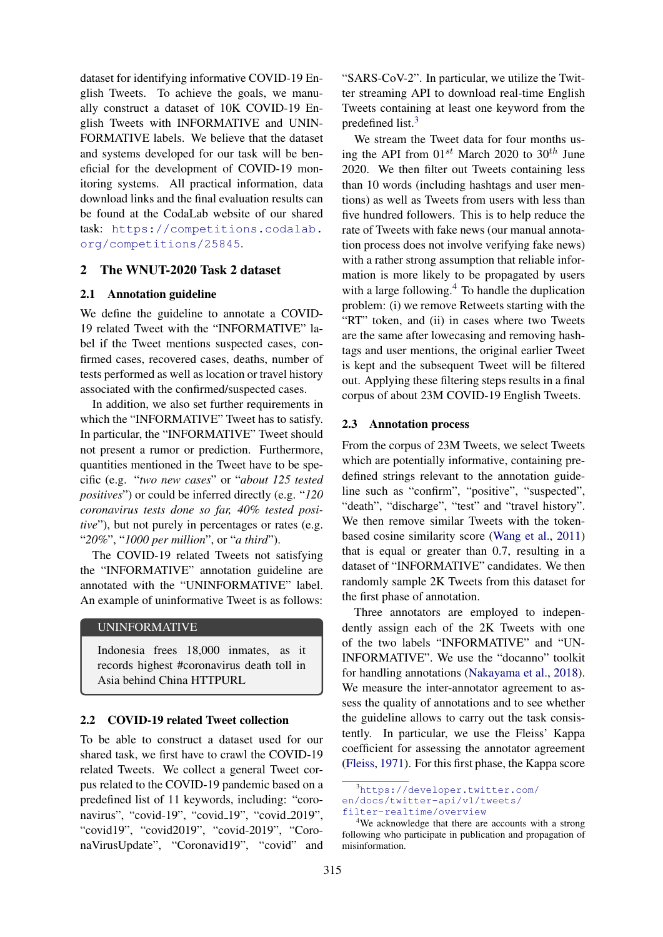dataset for identifying informative COVID-19 English Tweets. To achieve the goals, we manually construct a dataset of 10K COVID-19 English Tweets with INFORMATIVE and UNIN-FORMATIVE labels. We believe that the dataset and systems developed for our task will be beneficial for the development of COVID-19 monitoring systems. All practical information, data download links and the final evaluation results can be found at the CodaLab website of our shared task: [https://competitions.codalab.](https://competitions.codalab.org/competitions/25845) [org/competitions/25845](https://competitions.codalab.org/competitions/25845).

## 2 The WNUT-2020 Task 2 dataset

## 2.1 Annotation guideline

We define the guideline to annotate a COVID-19 related Tweet with the "INFORMATIVE" label if the Tweet mentions suspected cases, confirmed cases, recovered cases, deaths, number of tests performed as well as location or travel history associated with the confirmed/suspected cases.

In addition, we also set further requirements in which the "INFORMATIVE" Tweet has to satisfy. In particular, the "INFORMATIVE" Tweet should not present a rumor or prediction. Furthermore, quantities mentioned in the Tweet have to be specific (e.g. "*two new cases*" or "*about 125 tested positives*") or could be inferred directly (e.g. "*120 coronavirus tests done so far, 40% tested positive*"), but not purely in percentages or rates (e.g. "*20%*", "*1000 per million*", or "*a third*").

The COVID-19 related Tweets not satisfying the "INFORMATIVE" annotation guideline are annotated with the "UNINFORMATIVE" label. An example of uninformative Tweet is as follows:

## UNINFORMATIVE

Indonesia frees 18,000 inmates, as it records highest #coronavirus death toll in Asia behind China HTTPURL

## 2.2 COVID-19 related Tweet collection

To be able to construct a dataset used for our shared task, we first have to crawl the COVID-19 related Tweets. We collect a general Tweet corpus related to the COVID-19 pandemic based on a predefined list of 11 keywords, including: "coronavirus", "covid-19", "covid<sub>-19</sub>", "covid<sub>-2019</sub>", "covid19", "covid2019", "covid-2019", "CoronaVirusUpdate", "Coronavid19", "covid" and

"SARS-CoV-2". In particular, we utilize the Twitter streaming API to download real-time English Tweets containing at least one keyword from the predefined list.<sup>[3](#page-1-0)</sup>

We stream the Tweet data for four months using the API from  $01^{st}$  March 2020 to 30<sup>th</sup> June 2020. We then filter out Tweets containing less than 10 words (including hashtags and user mentions) as well as Tweets from users with less than five hundred followers. This is to help reduce the rate of Tweets with fake news (our manual annotation process does not involve verifying fake news) with a rather strong assumption that reliable information is more likely to be propagated by users with a large following. $4$  To handle the duplication problem: (i) we remove Retweets starting with the "RT" token, and (ii) in cases where two Tweets are the same after lowecasing and removing hashtags and user mentions, the original earlier Tweet is kept and the subsequent Tweet will be filtered out. Applying these filtering steps results in a final corpus of about 23M COVID-19 English Tweets.

#### 2.3 Annotation process

From the corpus of 23M Tweets, we select Tweets which are potentially informative, containing predefined strings relevant to the annotation guideline such as "confirm", "positive", "suspected", "death", "discharge", "test" and "travel history". We then remove similar Tweets with the tokenbased cosine similarity score [\(Wang et al.,](#page-4-2) [2011\)](#page-4-2) that is equal or greater than 0.7, resulting in a dataset of "INFORMATIVE" candidates. We then randomly sample 2K Tweets from this dataset for the first phase of annotation.

Three annotators are employed to independently assign each of the 2K Tweets with one of the two labels "INFORMATIVE" and "UN-INFORMATIVE". We use the "docanno" toolkit for handling annotations [\(Nakayama et al.,](#page-4-3) [2018\)](#page-4-3). We measure the inter-annotator agreement to assess the quality of annotations and to see whether the guideline allows to carry out the task consistently. In particular, we use the Fleiss' Kappa coefficient for assessing the annotator agreement [\(Fleiss,](#page-4-4) [1971\)](#page-4-4). For this first phase, the Kappa score

<span id="page-1-0"></span><sup>3</sup>[https://developer.twitter.com/](https://developer.twitter.com/en/docs/twitter-api/v1/tweets/filter-realtime/overview) [en/docs/twitter-api/v1/tweets/](https://developer.twitter.com/en/docs/twitter-api/v1/tweets/filter-realtime/overview)

[filter-realtime/overview](https://developer.twitter.com/en/docs/twitter-api/v1/tweets/filter-realtime/overview)

<span id="page-1-1"></span><sup>&</sup>lt;sup>4</sup>We acknowledge that there are accounts with a strong following who participate in publication and propagation of misinformation.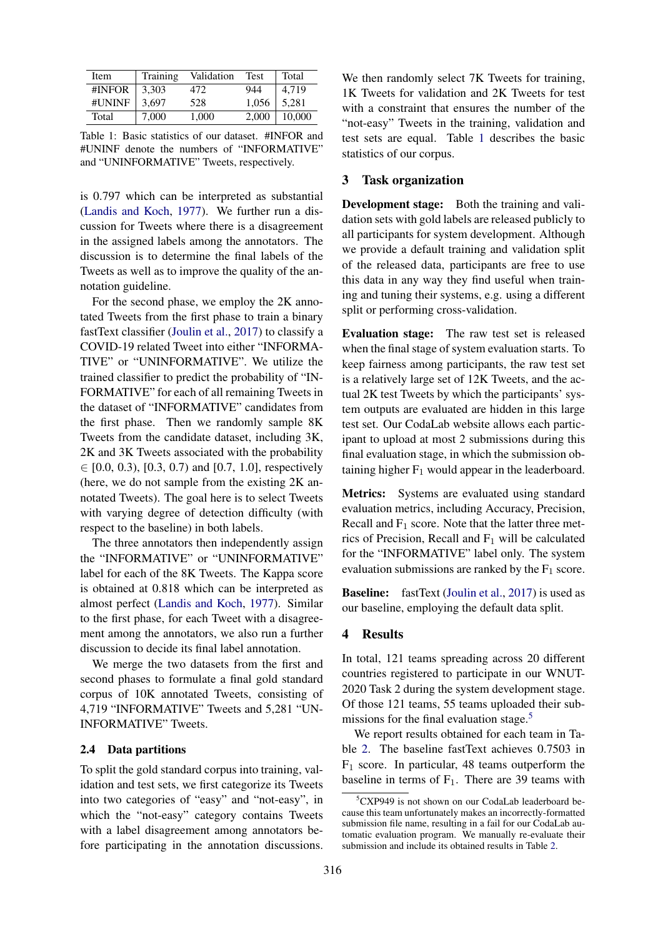<span id="page-2-0"></span>

| Item   | Training | Validation | <b>Test</b> | Total  |
|--------|----------|------------|-------------|--------|
| #INFOR | 3.303    | 472        | 944         | 4.719  |
| #UNINF | 3.697    | 528        | 1,056       | 5,281  |
| Total  | 7.000    | 1.000      | 2,000       | 10,000 |

Table 1: Basic statistics of our dataset. #INFOR and #UNINF denote the numbers of "INFORMATIVE" and "UNINFORMATIVE" Tweets, respectively.

is 0.797 which can be interpreted as substantial [\(Landis and Koch,](#page-4-5) [1977\)](#page-4-5). We further run a discussion for Tweets where there is a disagreement in the assigned labels among the annotators. The discussion is to determine the final labels of the Tweets as well as to improve the quality of the annotation guideline.

For the second phase, we employ the 2K annotated Tweets from the first phase to train a binary fastText classifier [\(Joulin et al.,](#page-4-0) [2017\)](#page-4-0) to classify a COVID-19 related Tweet into either "INFORMA-TIVE" or "UNINFORMATIVE". We utilize the trained classifier to predict the probability of "IN-FORMATIVE" for each of all remaining Tweets in the dataset of "INFORMATIVE" candidates from the first phase. Then we randomly sample 8K Tweets from the candidate dataset, including 3K, 2K and 3K Tweets associated with the probability  $\in$  [0.0, 0.3), [0.3, 0.7) and [0.7, 1.0], respectively (here, we do not sample from the existing 2K annotated Tweets). The goal here is to select Tweets with varying degree of detection difficulty (with respect to the baseline) in both labels.

The three annotators then independently assign the "INFORMATIVE" or "UNINFORMATIVE" label for each of the 8K Tweets. The Kappa score is obtained at 0.818 which can be interpreted as almost perfect [\(Landis and Koch,](#page-4-5) [1977\)](#page-4-5). Similar to the first phase, for each Tweet with a disagreement among the annotators, we also run a further discussion to decide its final label annotation.

We merge the two datasets from the first and second phases to formulate a final gold standard corpus of 10K annotated Tweets, consisting of 4,719 "INFORMATIVE" Tweets and 5,281 "UN-INFORMATIVE" Tweets.

## 2.4 Data partitions

To split the gold standard corpus into training, validation and test sets, we first categorize its Tweets into two categories of "easy" and "not-easy", in which the "not-easy" category contains Tweets with a label disagreement among annotators before participating in the annotation discussions.

We then randomly select 7K Tweets for training, 1K Tweets for validation and 2K Tweets for test with a constraint that ensures the number of the "not-easy" Tweets in the training, validation and test sets are equal. Table [1](#page-2-0) describes the basic statistics of our corpus.

## 3 Task organization

Development stage: Both the training and validation sets with gold labels are released publicly to all participants for system development. Although we provide a default training and validation split of the released data, participants are free to use this data in any way they find useful when training and tuning their systems, e.g. using a different split or performing cross-validation.

Evaluation stage: The raw test set is released when the final stage of system evaluation starts. To keep fairness among participants, the raw test set is a relatively large set of 12K Tweets, and the actual 2K test Tweets by which the participants' system outputs are evaluated are hidden in this large test set. Our CodaLab website allows each participant to upload at most 2 submissions during this final evaluation stage, in which the submission obtaining higher  $F_1$  would appear in the leaderboard.

Metrics: Systems are evaluated using standard evaluation metrics, including Accuracy, Precision, Recall and  $F_1$  score. Note that the latter three metrics of Precision, Recall and  $F_1$  will be calculated for the "INFORMATIVE" label only. The system evaluation submissions are ranked by the  $F_1$  score.

**Baseline:** fastText [\(Joulin et al.,](#page-4-0) [2017\)](#page-4-0) is used as our baseline, employing the default data split.

## 4 Results

In total, 121 teams spreading across 20 different countries registered to participate in our WNUT-2020 Task 2 during the system development stage. Of those 121 teams, 55 teams uploaded their sub-missions for the final evaluation stage.<sup>[5](#page-2-1)</sup>

We report results obtained for each team in Table [2.](#page-3-0) The baseline fastText achieves 0.7503 in  $F_1$  score. In particular, 48 teams outperform the baseline in terms of  $F_1$ . There are 39 teams with

<span id="page-2-1"></span><sup>&</sup>lt;sup>5</sup>CXP949 is not shown on our CodaLab leaderboard because this team unfortunately makes an incorrectly-formatted submission file name, resulting in a fail for our CodaLab automatic evaluation program. We manually re-evaluate their submission and include its obtained results in Table [2.](#page-3-0)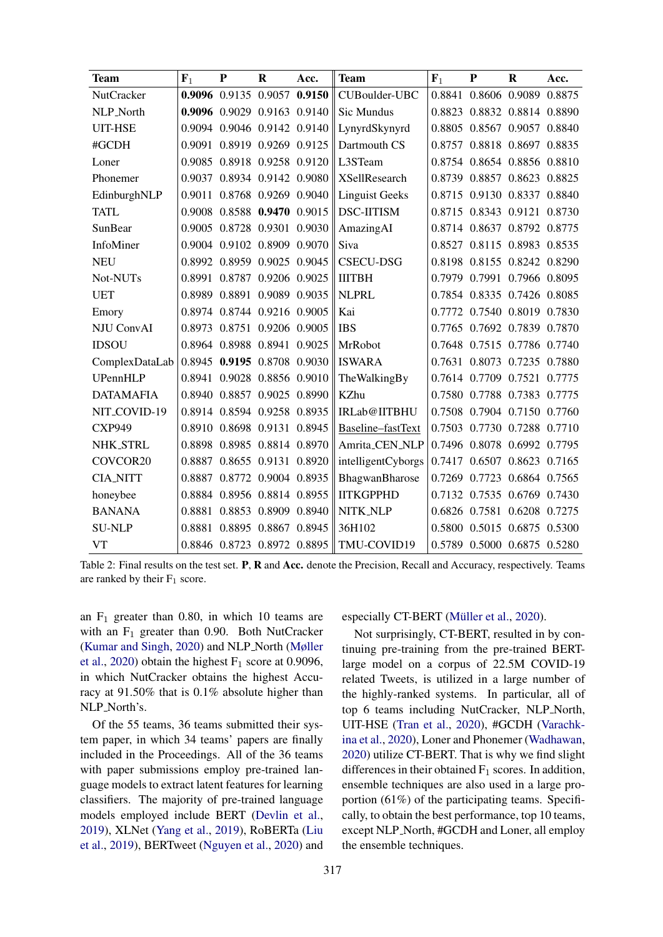<span id="page-3-0"></span>

| <b>Team</b>       | $\mathbf{F}_1$ | P | $\bf{R}$                    | Acc.                        | <b>Team</b>           | $\mathbf{F}_1$ | $\mathbf{P}$                | $\mathbf{R}$ | Acc.                        |
|-------------------|----------------|---|-----------------------------|-----------------------------|-----------------------|----------------|-----------------------------|--------------|-----------------------------|
| <b>NutCracker</b> |                |   | 0.9096 0.9135 0.9057 0.9150 |                             | CUBoulder-UBC         |                |                             |              | 0.8841 0.8606 0.9089 0.8875 |
| NLP_North         |                |   |                             | 0.9096 0.9029 0.9163 0.9140 | Sic Mundus            |                | 0.8823 0.8832 0.8814 0.8890 |              |                             |
| <b>UIT-HSE</b>    |                |   | 0.9094 0.9046 0.9142 0.9140 |                             | LynyrdSkynyrd         |                | 0.8805 0.8567 0.9057 0.8840 |              |                             |
| #GCDH             |                |   | 0.9091 0.8919 0.9269 0.9125 |                             | Dartmouth CS          |                | 0.8757 0.8818 0.8697 0.8835 |              |                             |
| Loner             |                |   |                             | 0.9085 0.8918 0.9258 0.9120 | L3STeam               |                | 0.8754 0.8654 0.8856 0.8810 |              |                             |
| Phonemer          |                |   | 0.9037 0.8934 0.9142 0.9080 |                             | <b>XSellResearch</b>  |                | 0.8739 0.8857 0.8623 0.8825 |              |                             |
| EdinburghNLP      |                |   |                             | 0.9011 0.8768 0.9269 0.9040 | <b>Linguist Geeks</b> |                | 0.8715 0.9130 0.8337 0.8840 |              |                             |
| <b>TATL</b>       |                |   | 0.9008 0.8588 0.9470 0.9015 |                             | <b>DSC-IITISM</b>     |                | 0.8715 0.8343 0.9121 0.8730 |              |                             |
| SunBear           |                |   |                             | 0.9005 0.8728 0.9301 0.9030 | AmazingAI             |                | 0.8714 0.8637 0.8792 0.8775 |              |                             |
| InfoMiner         |                |   | 0.9004 0.9102 0.8909 0.9070 |                             | Siva                  |                | 0.8527 0.8115 0.8983 0.8535 |              |                             |
| <b>NEU</b>        |                |   | 0.8992 0.8959 0.9025 0.9045 |                             | <b>CSECU-DSG</b>      |                | 0.8198 0.8155 0.8242 0.8290 |              |                             |
| Not-NUTs          |                |   | 0.8991 0.8787 0.9206 0.9025 |                             | <b>IIITBH</b>         |                | 0.7979 0.7991 0.7966 0.8095 |              |                             |
| <b>UET</b>        |                |   | 0.8989 0.8891 0.9089 0.9035 |                             | <b>NLPRL</b>          |                | 0.7854 0.8335 0.7426 0.8085 |              |                             |
| Emory             |                |   | 0.8974 0.8744 0.9216 0.9005 |                             | Kai                   |                | 0.7772 0.7540 0.8019 0.7830 |              |                             |
| <b>NJU ConvAI</b> |                |   | 0.8973 0.8751 0.9206 0.9005 |                             | <b>IBS</b>            |                | 0.7765 0.7692 0.7839 0.7870 |              |                             |
| <b>IDSOU</b>      |                |   | 0.8964 0.8988 0.8941 0.9025 |                             | MrRobot               |                | 0.7648 0.7515 0.7786 0.7740 |              |                             |
| ComplexDataLab    |                |   | 0.8945 0.9195 0.8708 0.9030 |                             | <b>ISWARA</b>         |                | 0.7631 0.8073 0.7235 0.7880 |              |                             |
| UPennHLP          |                |   | 0.8941 0.9028 0.8856 0.9010 |                             | TheWalkingBy          |                | 0.7614 0.7709 0.7521 0.7775 |              |                             |
| <b>DATAMAFIA</b>  |                |   | 0.8940 0.8857 0.9025 0.8990 |                             | KZhu                  |                | 0.7580 0.7788 0.7383 0.7775 |              |                             |
| NIT_COVID-19      |                |   | 0.8914 0.8594 0.9258 0.8935 |                             | IRLab@IITBHU          |                | 0.7508 0.7904 0.7150 0.7760 |              |                             |
| <b>CXP949</b>     |                |   | 0.8910 0.8698 0.9131 0.8945 |                             | Baseline-fastText     |                | 0.7503 0.7730 0.7288 0.7710 |              |                             |
| NHK_STRL          |                |   | 0.8898 0.8985 0.8814 0.8970 |                             | Amrita_CEN_NLP        |                | 0.7496 0.8078 0.6992 0.7795 |              |                             |
| COVCOR20          |                |   | 0.8887 0.8655 0.9131 0.8920 |                             | intelligentCyborgs    |                | 0.7417 0.6507 0.8623 0.7165 |              |                             |
| <b>CIA_NITT</b>   |                |   | 0.8887 0.8772 0.9004 0.8935 |                             | BhagwanBharose        |                | 0.7269 0.7723 0.6864 0.7565 |              |                             |
| honeybee          |                |   | 0.8884 0.8956 0.8814 0.8955 |                             | <b>IITKGPPHD</b>      |                | 0.7132 0.7535 0.6769 0.7430 |              |                             |
| <b>BANANA</b>     |                |   | 0.8881 0.8853 0.8909 0.8940 |                             | NITK_NLP              |                | 0.6826 0.7581 0.6208 0.7275 |              |                             |
| <b>SU-NLP</b>     |                |   | 0.8881 0.8895 0.8867 0.8945 |                             | 36H102                |                | 0.5800 0.5015 0.6875 0.5300 |              |                             |
| <b>VT</b>         |                |   | 0.8846 0.8723 0.8972 0.8895 |                             | TMU-COVID19           |                | 0.5789 0.5000 0.6875 0.5280 |              |                             |

Table 2: Final results on the test set. P, R and Acc. denote the Precision, Recall and Accuracy, respectively. Teams are ranked by their  $F_1$  score.

an  $F_1$  greater than 0.80, in which 10 teams are with an  $F_1$  greater than 0.90. Both NutCracker [\(Kumar and Singh,](#page-4-6) [2020\)](#page-4-6) and NLP North [\(Møller](#page-4-7) [et al.,](#page-4-7) [2020\)](#page-4-7) obtain the highest  $F_1$  score at 0.9096, in which NutCracker obtains the highest Accuracy at 91.50% that is 0.1% absolute higher than NLP\_North's.

Of the 55 teams, 36 teams submitted their system paper, in which 34 teams' papers are finally included in the Proceedings. All of the 36 teams with paper submissions employ pre-trained language models to extract latent features for learning classifiers. The majority of pre-trained language models employed include BERT [\(Devlin et al.,](#page-4-8) [2019\)](#page-4-8), XLNet [\(Yang et al.,](#page-4-9) [2019\)](#page-4-9), RoBERTa [\(Liu](#page-4-10) [et al.,](#page-4-10) [2019\)](#page-4-10), BERTweet [\(Nguyen et al.,](#page-4-11) [2020\)](#page-4-11) and

## especially CT-BERT (Müller et al., [2020\)](#page-4-12).

Not surprisingly, CT-BERT, resulted in by continuing pre-training from the pre-trained BERTlarge model on a corpus of 22.5M COVID-19 related Tweets, is utilized in a large number of the highly-ranked systems. In particular, all of top 6 teams including NutCracker, NLP North, UIT-HSE [\(Tran et al.,](#page-4-13) [2020\)](#page-4-13), #GCDH [\(Varachk](#page-4-14)[ina et al.,](#page-4-14) [2020\)](#page-4-14), Loner and Phonemer [\(Wadhawan,](#page-4-15) [2020\)](#page-4-15) utilize CT-BERT. That is why we find slight differences in their obtained  $F_1$  scores. In addition, ensemble techniques are also used in a large proportion (61%) of the participating teams. Specifically, to obtain the best performance, top 10 teams, except NLP North, #GCDH and Loner, all employ the ensemble techniques.